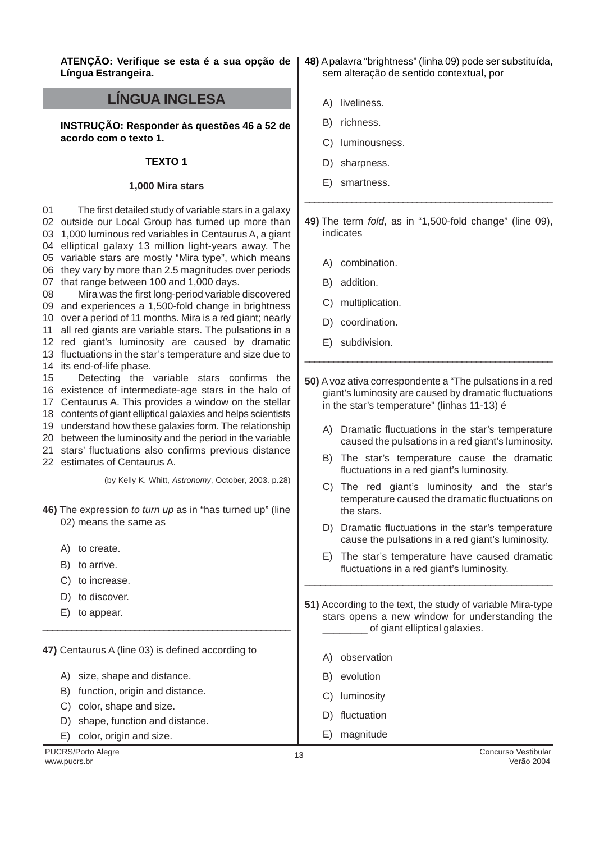**ATENÇÃO: Verifique se esta é a sua opção de Língua Estrangeira.**

# **LÍNGUA INGLESA**

**INSTRUÇÃO: Responder às questões 46 a 52 de acordo com o texto 1.**

### **TEXTO 1**

#### **1,000 Mira stars**

01 outside our Local Group has turned up more than 1,000 luminous red variables in Centaurus A, a giant elliptical galaxy 13 million light-years away. The variable stars are mostly "Mira type", which means they vary by more than 2.5 magnitudes over periods that range between 100 and 1,000 days. 08 and experiences a 1,500-fold change in brightness over a period of 11 months. Mira is a red giant; nearly all red giants are variable stars. The pulsations in a red giant's luminosity are caused by dramatic fluctuations in the star's temperature and size due to its end-of-life phase. 15 existence of intermediate-age stars in the halo of Centaurus A. This provides a window on the stellar contents of giant elliptical galaxies and helps scientists understand how these galaxies form. The relationship between the luminosity and the period in the variable stars' fluctuations also confirms previous distance estimates of Centaurus A. \_\_\_\_\_\_\_\_\_\_\_\_\_\_\_\_\_\_\_\_\_\_\_\_\_\_\_\_\_\_\_\_\_\_\_\_\_\_\_\_\_\_\_\_\_\_\_\_\_\_\_\_\_ \_\_\_\_\_\_\_\_\_\_\_\_\_\_\_\_\_\_\_\_\_\_\_\_\_\_\_\_\_\_\_\_\_\_\_\_\_\_\_\_\_\_\_\_\_\_\_\_\_\_\_\_ The first detailed study of variable stars in a galaxy Mira was the first long-period variable discovered Detecting the variable stars confirms the (by Kelly K. Whitt, Astronomy, October, 2003. p.28)

- **46)** The expression to turn up as in "has turned up" (line 02) means the same as
	- A) to create.
	- B) to arrive.
	- C) to increase.
	- D) to discover.
	- E) to appear.

**47)** Centaurus A (line 03) is defined according to

\_\_\_\_\_\_\_\_\_\_\_\_\_\_\_\_\_\_\_\_\_\_\_\_\_\_\_\_\_\_\_\_\_\_\_\_\_\_\_\_\_\_\_\_\_\_\_\_\_\_\_

- A) size, shape and distance.
- B) function, origin and distance.
- C) color, shape and size.
- D) shape, function and distance.
- E) color, origin and size.
- **48)** A palavra "brightness" (linha 09) pode ser substituída, sem alteração de sentido contextual, por
	- A) liveliness.
	- B) richness.
	- C) luminousness.
	- D) sharpness.
	- E) smartness.

**49)** The term fold, as in "1,500-fold change" (line 09), indicates

- A) combination.
- B) addition.
- C) multiplication.
- D) coordination.
- E) subdivision.
- **50)** A voz ativa correspondente a "The pulsations in a red giant's luminosity are caused by dramatic fluctuations in the star's temperature" (linhas 11-13) é
	- A) Dramatic fluctuations in the star's temperature caused the pulsations in a red giant's luminosity.
	- B) The star's temperature cause the dramatic fluctuations in a red giant's luminosity.
	- C) The red giant's luminosity and the star's temperature caused the dramatic fluctuations on the stars.
	- D) Dramatic fluctuations in the star's temperature cause the pulsations in a red giant's luminosity.
	- E) The star's temperature have caused dramatic fluctuations in a red giant's luminosity.
- **51)** According to the text, the study of variable Mira-type stars opens a new window for understanding the of giant elliptical galaxies.

\_\_\_\_\_\_\_\_\_\_\_\_\_\_\_\_\_\_\_\_\_\_\_\_\_\_\_\_\_\_\_\_\_\_\_\_\_\_\_\_\_\_\_\_\_\_\_\_

- A) observation
- B) evolution
- C) luminosity
- D) fluctuation
- E) magnitude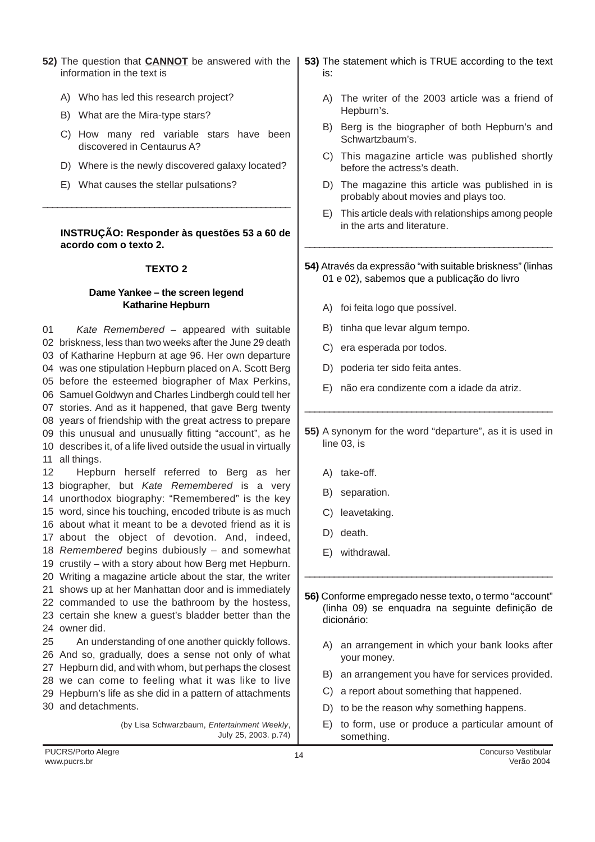- **52)** The question that **CANNOT** be answered with the information in the text is
	- A) Who has led this research project?
	- B) What are the Mira-type stars?
	- C) How many red variable stars have been discovered in Centaurus A?
	- D) Where is the newly discovered galaxy located?
	- E) What causes the stellar pulsations?

### **INSTRUÇÃO: Responder às questões 53 a 60 de acordo com o texto 2.**

## **TEXTO 2**

\_\_\_\_\_\_\_\_\_\_\_\_\_\_\_\_\_\_\_\_\_\_\_\_\_\_\_\_\_\_\_\_\_\_\_\_\_\_\_\_\_\_\_\_\_\_\_\_\_\_\_

### **Dame Yankee – the screen legend Katharine Hepburn**

01 briskness, less than two weeks after the June 29 death of Katharine Hepburn at age 96. Her own departure was one stipulation Hepburn placed on A. Scott Berg before the esteemed biographer of Max Perkins, Samuel Goldwyn and Charles Lindbergh could tell her stories. And as it happened, that gave Berg twenty years of friendship with the great actress to prepare this unusual and unusually fitting "account", as he describes it, of a life lived outside the usual in virtually all things. Kate Remembered – appeared with suitable

12 13 biographer, but Kate Remembered is a very unorthodox biography: "Remembered" is the key word, since his touching, encoded tribute is as much about what it meant to be a devoted friend as it is about the object of devotion. And, indeed, 18 Remembered begins dubiously - and somewhat crustily – with a story about how Berg met Hepburn. Writing a magazine article about the star, the writer shows up at her Manhattan door and is immediately commanded to use the bathroom by the hostess, certain she knew a guest's bladder better than the owner did. 25 Hepburn herself referred to Berg as her An understanding of one another quickly follows.

 And so, gradually, does a sense not only of what Hepburn did, and with whom, but perhaps the closest we can come to feeling what it was like to live Hepburn's life as she did in a pattern of attachments and detachments.

> (by Lisa Schwarzbaum, Entertainment Weekly, July 25, 2003. p.74)

- **53)** The statement which is TRUE according to the text is:
	- A) The writer of the 2003 article was a friend of Hepburn's.
	- B) Berg is the biographer of both Hepburn's and Schwartzbaum's.
	- C) This magazine article was published shortly before the actress's death.
	- D) The magazine this article was published in is probably about movies and plays too.
	- E) This article deals with relationships among people in the arts and literature.
- **54)** Através da expressão "with suitable briskness" (linhas 01 e 02), sabemos que a publicação do livro

\_\_\_\_\_\_\_\_\_\_\_\_\_\_\_\_\_\_\_\_\_\_\_\_\_\_\_\_\_\_\_\_\_\_\_\_\_\_\_\_\_\_\_\_\_\_\_\_\_\_\_

- A) foi feita logo que possível.
- B) tinha que levar algum tempo.
- C) era esperada por todos.
- D) poderia ter sido feita antes.
- E) não era condizente com a idade da atriz.
- **55)** A synonym for the word "departure", as it is used in line 03, is

\_\_\_\_\_\_\_\_\_\_\_\_\_\_\_\_\_\_\_\_\_\_\_\_\_\_\_\_\_\_\_\_\_\_\_\_\_\_\_\_\_\_\_\_\_\_\_\_\_\_\_

- A) take-off.
- B) separation.
- C) leavetaking.
- D) death.
- E) withdrawal.

**56)** Conforme empregado nesse texto, o termo "account" (linha 09) se enquadra na seguinte definição de dicionário:

\_\_\_\_\_\_\_\_\_\_\_\_\_\_\_\_\_\_\_\_\_\_\_\_\_\_\_\_\_\_\_\_\_\_\_\_\_\_\_\_\_\_\_\_\_\_\_\_\_\_\_

- A) an arrangement in which your bank looks after your money.
- B) an arrangement you have for services provided.
- C) a report about something that happened.
- D) to be the reason why something happens.
- E) to form, use or produce a particular amount of something.